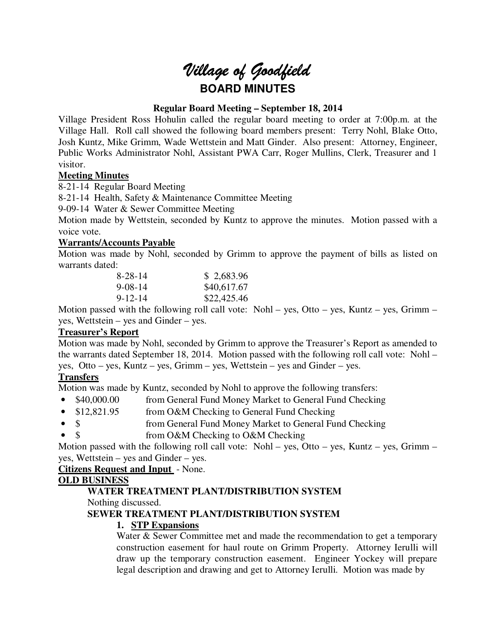# *Village of Goodfield* **BOARD MINUTES**

## **Regular Board Meeting – September 18, 2014**

Village President Ross Hohulin called the regular board meeting to order at 7:00p.m. at the Village Hall. Roll call showed the following board members present: Terry Nohl, Blake Otto, Josh Kuntz, Mike Grimm, Wade Wettstein and Matt Ginder. Also present: Attorney, Engineer, Public Works Administrator Nohl, Assistant PWA Carr, Roger Mullins, Clerk, Treasurer and 1 visitor.

## **Meeting Minutes**

8-21-14 Regular Board Meeting

8-21-14 Health, Safety & Maintenance Committee Meeting

9-09-14 Water & Sewer Committee Meeting

Motion made by Wettstein, seconded by Kuntz to approve the minutes. Motion passed with a voice vote.

## **Warrants/Accounts Payable**

Motion was made by Nohl, seconded by Grimm to approve the payment of bills as listed on warrants dated:

| 8-28-14       | \$2,683.96  |
|---------------|-------------|
| $9 - 08 - 14$ | \$40,617.67 |
| $9 - 12 - 14$ | \$22,425.46 |

Motion passed with the following roll call vote: Nohl – yes, Otto – yes, Kuntz – yes, Grimm – yes, Wettstein – yes and Ginder – yes.

## **Treasurer's Report**

Motion was made by Nohl, seconded by Grimm to approve the Treasurer's Report as amended to the warrants dated September 18, 2014. Motion passed with the following roll call vote: Nohl – yes, Otto – yes, Kuntz – yes, Grimm – yes, Wettstein – yes and Ginder – yes.

## **Transfers**

Motion was made by Kuntz, seconded by Nohl to approve the following transfers:

- \$40,000.00 from General Fund Money Market to General Fund Checking
- \$12,821.95 from O&M Checking to General Fund Checking
- \$ from General Fund Money Market to General Fund Checking
- \$ from O&M Checking to O&M Checking

Motion passed with the following roll call vote: Nohl – yes, Otto – yes, Kuntz – yes, Grimm – yes, Wettstein – yes and Ginder – yes.

**Citizens Request and Input** - None.

## **OLD BUSINESS**

## **WATER TREATMENT PLANT/DISTRIBUTION SYSTEM**

Nothing discussed.

## **SEWER TREATMENT PLANT/DISTRIBUTION SYSTEM**

## **1. STP Expansions**

Water & Sewer Committee met and made the recommendation to get a temporary construction easement for haul route on Grimm Property. Attorney Ierulli will draw up the temporary construction easement. Engineer Yockey will prepare legal description and drawing and get to Attorney Ierulli. Motion was made by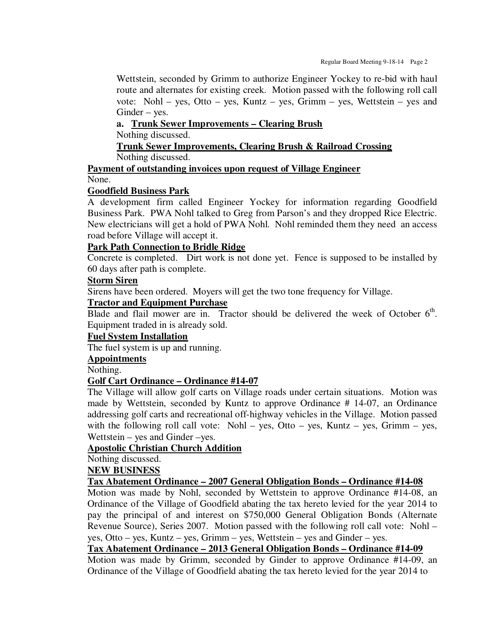Wettstein, seconded by Grimm to authorize Engineer Yockey to re-bid with haul route and alternates for existing creek. Motion passed with the following roll call vote: Nohl – yes, Otto – yes, Kuntz – yes, Grimm – yes, Wettstein – yes and Ginder – yes.

## **a. Trunk Sewer Improvements – Clearing Brush**

Nothing discussed.

## **Trunk Sewer Improvements, Clearing Brush & Railroad Crossing**  Nothing discussed.

**Payment of outstanding invoices upon request of Village Engineer**  None.

## **Goodfield Business Park**

A development firm called Engineer Yockey for information regarding Goodfield Business Park. PWA Nohl talked to Greg from Parson's and they dropped Rice Electric. New electricians will get a hold of PWA Nohl. Nohl reminded them they need an access road before Village will accept it.

## **Park Path Connection to Bridle Ridge**

Concrete is completed. Dirt work is not done yet. Fence is supposed to be installed by 60 days after path is complete.

## **Storm Siren**

Sirens have been ordered. Moyers will get the two tone frequency for Village.

## **Tractor and Equipment Purchase**

Blade and flail mower are in. Tractor should be delivered the week of October  $6<sup>th</sup>$ . Equipment traded in is already sold.

## **Fuel System Installation**

The fuel system is up and running.

**Appointments** 

#### Nothing.

## **Golf Cart Ordinance – Ordinance #14-07**

The Village will allow golf carts on Village roads under certain situations. Motion was made by Wettstein, seconded by Kuntz to approve Ordinance # 14-07, an Ordinance addressing golf carts and recreational off-highway vehicles in the Village. Motion passed with the following roll call vote: Nohl – yes, Otto – yes, Kuntz – yes, Grimm – yes, Wettstein – yes and Ginder –yes.

## **Apostolic Christian Church Addition**

Nothing discussed.

## **NEW BUSINESS**

## **Tax Abatement Ordinance – 2007 General Obligation Bonds – Ordinance #14-08**

Motion was made by Nohl, seconded by Wettstein to approve Ordinance #14-08, an Ordinance of the Village of Goodfield abating the tax hereto levied for the year 2014 to pay the principal of and interest on \$750,000 General Obligation Bonds (Alternate Revenue Source), Series 2007. Motion passed with the following roll call vote: Nohl – yes, Otto – yes, Kuntz – yes, Grimm – yes, Wettstein – yes and Ginder – yes.

# **Tax Abatement Ordinance – 2013 General Obligation Bonds – Ordinance #14-09**

Motion was made by Grimm, seconded by Ginder to approve Ordinance #14-09, an Ordinance of the Village of Goodfield abating the tax hereto levied for the year 2014 to